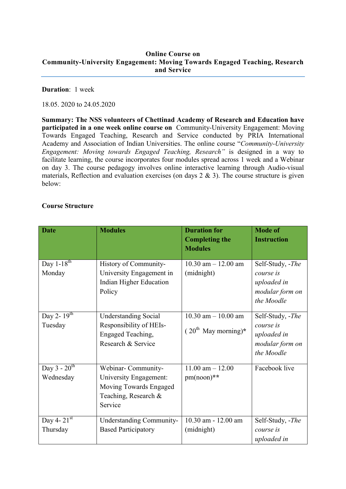## Online Course on Community-University Engagement: Moving Towards Engaged Teaching, Research and Service

## Duration: 1 week

18.05. 2020 to 24.05.2020

Summary: The NSS volunteers of Chettinad Academy of Research and Education have participated in a one week online course on Community-University Engagement: Moving Towards Engaged Teaching, Research and Service conducted by PRIA International Academy and Association of Indian Universities. The online course "*Community-University Engagement: Moving towards Engaged Teaching, Research"* is designed in a way to facilitate learning, the course incorporates four modules spread across 1 week and a Webinar on day 3. The course pedagogy involves online interactive learning through Audio-visual materials, Reflection and evaluation exercises (on days  $2 \& 3$ ). The course structure is given below:

## Course Structure

| <b>Date</b>                             | <b>Modules</b>                                                                                            | <b>Duration for</b><br><b>Completing the</b><br><b>Modules</b> | <b>Mode of</b><br><b>Instruction</b>                                          |
|-----------------------------------------|-----------------------------------------------------------------------------------------------------------|----------------------------------------------------------------|-------------------------------------------------------------------------------|
| Day $1 - 18^{th}$<br>Monday             | History of Community-<br>University Engagement in<br>Indian Higher Education<br>Policy                    | $10.30$ am $- 12.00$ am<br>(midnight)                          | Self-Study, -The<br>course is<br>uploaded in<br>modular form on<br>the Moodle |
| Day 2- $1\overline{9^{th}}$<br>Tuesday  | <b>Understanding Social</b><br>Responsibility of HEIs-<br>Engaged Teaching,<br>Research & Service         | $10.30$ am $- 10.00$ am<br>$(20^{th}$ May morning)*            | Self-Study, -The<br>course is<br>uploaded in<br>modular form on<br>the Moodle |
| Day $3 - 20$ <sup>th</sup><br>Wednesday | Webinar-Community-<br>University Engagement:<br>Moving Towards Engaged<br>Teaching, Research &<br>Service | $11.00$ am $- 12.00$<br>$pm(noon)**$                           | Facebook live                                                                 |
| Day 4- $21st$<br>Thursday               | <b>Understanding Community-</b><br><b>Based Participatory</b>                                             | 10.30 am - 12.00 am<br>(midnight)                              | Self-Study, -The<br>course is<br>uploaded in                                  |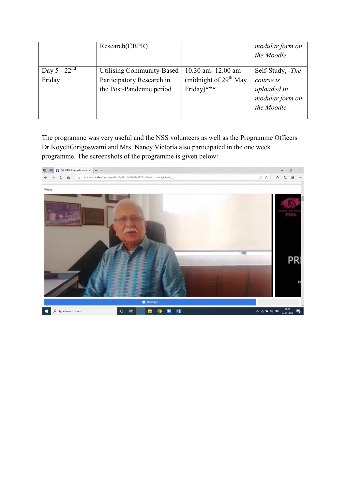|                   | Research(CBPR)                   |                         | modular form on  |
|-------------------|----------------------------------|-------------------------|------------------|
|                   |                                  |                         | the Moodle       |
| Day 5 - $22^{nd}$ | <b>Utilising Community-Based</b> | 10.30 am-12.00 am       | Self-Study, -The |
| Friday            | Participatory Research in        | (midnight of $29th$ May | course is        |
|                   | the Post-Pandemic period         | Friday)***              | uploaded in      |
|                   |                                  |                         | modular form on  |
|                   |                                  |                         | the Moodle       |
|                   |                                  |                         |                  |

The programme was very useful and the NSS volunteers as well as the Programme Officers Dr.KoyeliGirigoswami and Mrs. Nancy Victoria also participated in the one week programme. The screenshots of the programme is given below: